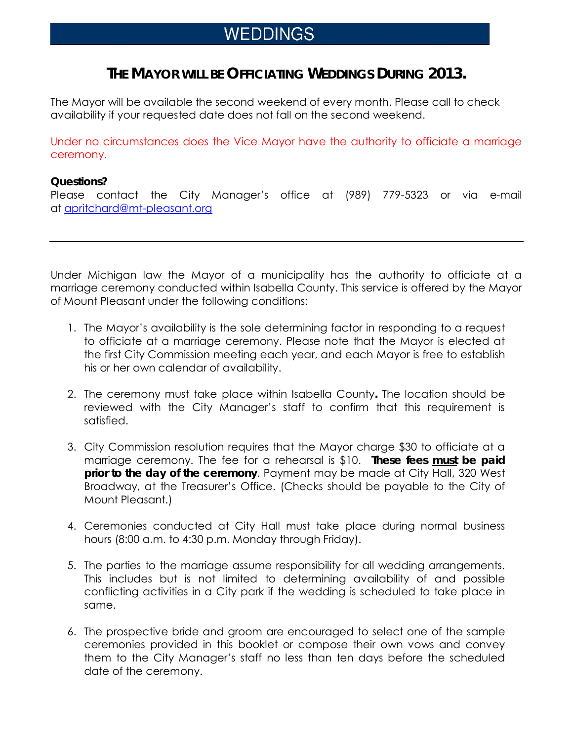# WEDDINGS

## **THE MAYOR WILL BE OFFICIATING WEDDINGS DURING 2013.**

The Mayor will be available the second weekend of every month. Please call to check availability if your requested date does not fall on the second weekend.

Under no circumstances does the Vice Mayor have the authority to officiate a marriage ceremony.

#### **Questions?**

Please contact the City Manager's office at (989) 779-5323 or via e-mail at apritchard@mt-pleasant.org

Under Michigan law the Mayor of a municipality has the authority to officiate at a marriage ceremony conducted within Isabella County. This service is offered by the Mayor of Mount Pleasant under the following conditions:

- 1. The Mayor's availability is the sole determining factor in responding to a request to officiate at a marriage ceremony. Please note that the Mayor is elected at the first City Commission meeting each year, and each Mayor is free to establish his or her own calendar of availability.
- 2. The ceremony must take place within Isabella County**.** The location should be reviewed with the City Manager's staff to confirm that this requirement is satisfied.
- 3. City Commission resolution requires that the Mayor charge \$30 to officiate at a marriage ceremony. The fee for a rehearsal is \$10. **These fees must be paid prior to the day of the ceremony**. Payment may be made at City Hall, 320 West Broadway, at the Treasurer's Office. (Checks should be payable to the City of Mount Pleasant.)
- 4. Ceremonies conducted at City Hall must take place during normal business hours (8:00 a.m. to 4:30 p.m. Monday through Friday).
- 5. The parties to the marriage assume responsibility for all wedding arrangements. This includes but is not limited to determining availability of and possible conflicting activities in a City park if the wedding is scheduled to take place in same.
- 6. The prospective bride and groom are encouraged to select one of the sample ceremonies provided in this booklet or compose their own vows and convey them to the City Manager's staff no less than ten days before the scheduled date of the ceremony.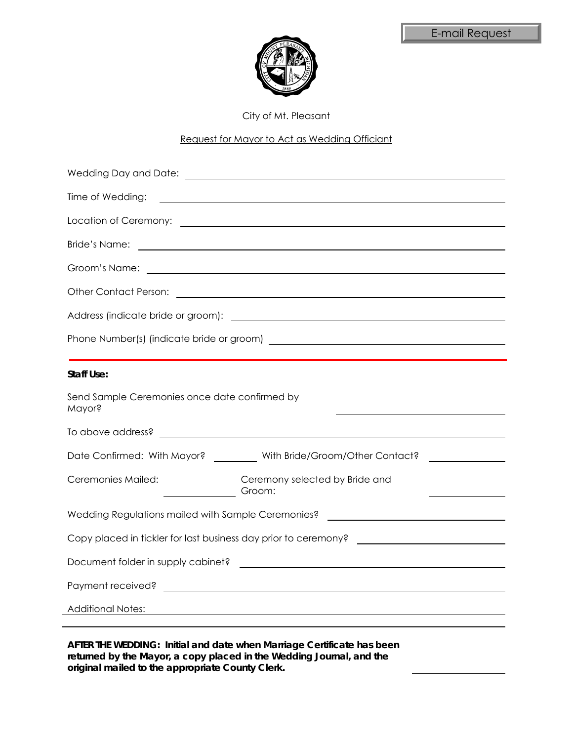



City of Mt. Pleasant

#### Request for Mayor to Act as Wedding Officiant

| Time of Wedding:<br><u> 1980 - Johann Barnett, fransk politik (d. 1980)</u>                                                                                                                                                          |  |  |  |  |
|--------------------------------------------------------------------------------------------------------------------------------------------------------------------------------------------------------------------------------------|--|--|--|--|
| Location of Ceremony: <u>example and the set of the set of the set of the set of the set of the set of the set of the set of the set of the set of the set of the set of the set of the set of the set of the set of the set of </u> |  |  |  |  |
| <b>Bride's Name:</b><br><u> Alexandria de la contrada de la contrada de la contrada de la contrada de la contrada de la contrada de la c</u>                                                                                         |  |  |  |  |
| Groom's Name:<br><u> 1989 - Johann Barn, fransk politik (d. 1989)</u>                                                                                                                                                                |  |  |  |  |
|                                                                                                                                                                                                                                      |  |  |  |  |
|                                                                                                                                                                                                                                      |  |  |  |  |
|                                                                                                                                                                                                                                      |  |  |  |  |
|                                                                                                                                                                                                                                      |  |  |  |  |
| <b>Staff Use:</b>                                                                                                                                                                                                                    |  |  |  |  |
| Send Sample Ceremonies once date confirmed by<br>Mayor?                                                                                                                                                                              |  |  |  |  |
|                                                                                                                                                                                                                                      |  |  |  |  |
| Date Confirmed: With Mayor? _________ With Bride/Groom/Other Contact?                                                                                                                                                                |  |  |  |  |
| Ceremonies Mailed:<br>Ceremony selected by Bride and<br>Groom:<br>$\frac{1}{\sqrt{1-\frac{1}{2}}\left(1-\frac{1}{2}\right)}$                                                                                                         |  |  |  |  |
| Wedding Regulations mailed with Sample Ceremonies? _____________________________                                                                                                                                                     |  |  |  |  |
| Copy placed in tickler for last business day prior to ceremony? ___________________________________                                                                                                                                  |  |  |  |  |
|                                                                                                                                                                                                                                      |  |  |  |  |
|                                                                                                                                                                                                                                      |  |  |  |  |
| <b>Additional Notes:</b>                                                                                                                                                                                                             |  |  |  |  |
|                                                                                                                                                                                                                                      |  |  |  |  |

**AFTER THE WEDDING: Initial and date when Marriage Certificate has been returned by the Mayor, a copy placed in the Wedding Journal, and the original mailed to the appropriate County Clerk.**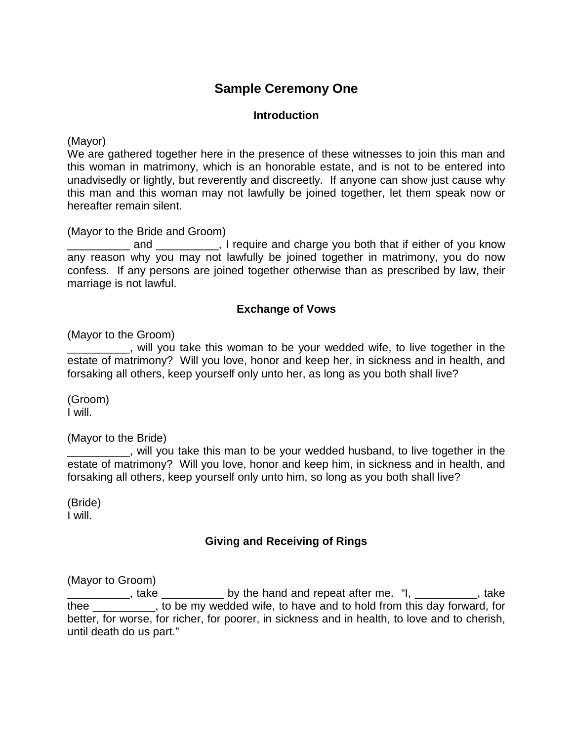## **Sample Ceremony One**

## **Introduction**

(Mayor)

We are gathered together here in the presence of these witnesses to join this man and this woman in matrimony, which is an honorable estate, and is not to be entered into unadvisedly or lightly, but reverently and discreetly. If anyone can show just cause why this man and this woman may not lawfully be joined together, let them speak now or hereafter remain silent.

(Mayor to the Bride and Groom)

\_\_\_\_\_\_\_\_\_\_\_\_\_\_ and \_\_\_\_\_\_\_\_\_\_\_\_, I require and charge you both that if either of you know any reason why you may not lawfully be joined together in matrimony, you do now confess. If any persons are joined together otherwise than as prescribed by law, their marriage is not lawful.

### **Exchange of Vows**

(Mayor to the Groom)

\_\_\_\_\_\_\_\_\_\_, will you take this woman to be your wedded wife, to live together in the estate of matrimony? Will you love, honor and keep her, in sickness and in health, and forsaking all others, keep yourself only unto her, as long as you both shall live?

(Groom) I will.

(Mayor to the Bride)

\_\_\_\_\_\_\_\_\_\_, will you take this man to be your wedded husband, to live together in the estate of matrimony? Will you love, honor and keep him, in sickness and in health, and forsaking all others, keep yourself only unto him, so long as you both shall live?

(Bride) I will.

### **Giving and Receiving of Rings**

(Mayor to Groom)

 $\frac{1}{2}$ , take  $\frac{1}{2}$  by the hand and repeat after me. "I,  $\frac{1}{2}$ , take thee \_\_\_\_\_\_\_\_\_\_, to be my wedded wife, to have and to hold from this day forward, for better, for worse, for richer, for poorer, in sickness and in health, to love and to cherish, until death do us part."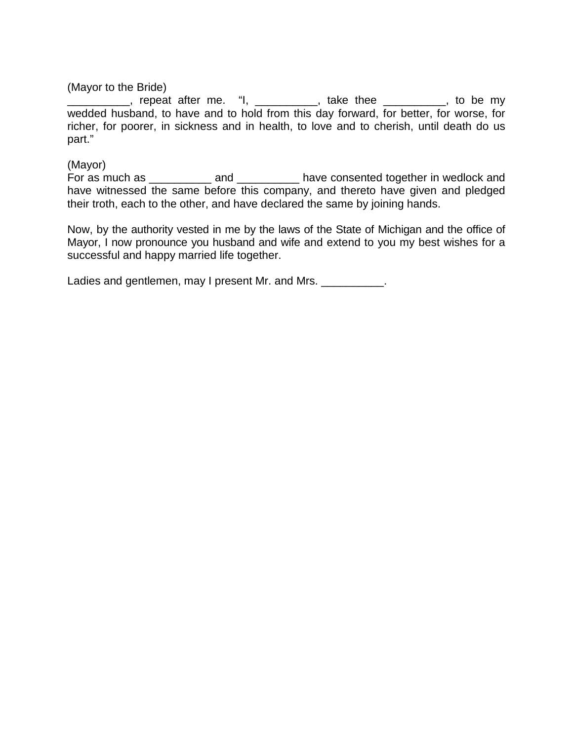(Mayor to the Bride)

**\_\_\_\_\_\_\_\_\_**, repeat after me. "I, \_\_\_\_\_\_\_\_\_\_, take thee \_\_\_\_\_\_\_\_\_, to be my wedded husband, to have and to hold from this day forward, for better, for worse, for richer, for poorer, in sickness and in health, to love and to cherish, until death do us part."

#### (Mayor)

For as much as \_\_\_\_\_\_\_\_\_\_\_ and \_\_\_\_\_\_\_\_\_\_\_ have consented together in wedlock and have witnessed the same before this company, and thereto have given and pledged their troth, each to the other, and have declared the same by joining hands.

Now, by the authority vested in me by the laws of the State of Michigan and the office of Mayor, I now pronounce you husband and wife and extend to you my best wishes for a successful and happy married life together.

Ladies and gentlemen, may I present Mr. and Mrs. \_\_\_\_\_\_\_\_\_\_\_.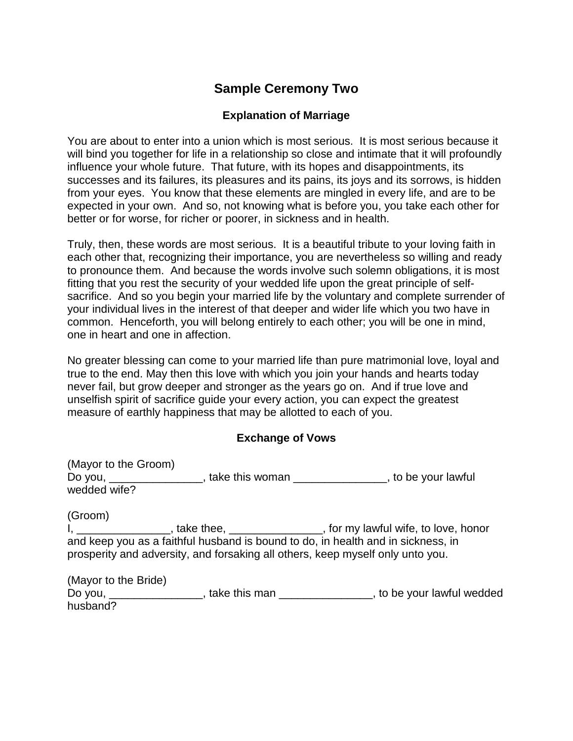## **Sample Ceremony Two**

## **Explanation of Marriage**

You are about to enter into a union which is most serious. It is most serious because it will bind you together for life in a relationship so close and intimate that it will profoundly influence your whole future. That future, with its hopes and disappointments, its successes and its failures, its pleasures and its pains, its joys and its sorrows, is hidden from your eyes. You know that these elements are mingled in every life, and are to be expected in your own. And so, not knowing what is before you, you take each other for better or for worse, for richer or poorer, in sickness and in health.

Truly, then, these words are most serious. It is a beautiful tribute to your loving faith in each other that, recognizing their importance, you are nevertheless so willing and ready to pronounce them. And because the words involve such solemn obligations, it is most fitting that you rest the security of your wedded life upon the great principle of selfsacrifice. And so you begin your married life by the voluntary and complete surrender of your individual lives in the interest of that deeper and wider life which you two have in common. Henceforth, you will belong entirely to each other; you will be one in mind, one in heart and one in affection.

No greater blessing can come to your married life than pure matrimonial love, loyal and true to the end. May then this love with which you join your hands and hearts today never fail, but grow deeper and stronger as the years go on. And if true love and unselfish spirit of sacrifice guide your every action, you can expect the greatest measure of earthly happiness that may be allotted to each of you.

### **Exchange of Vows**

| (Mayor to the Groom) |                 |                     |
|----------------------|-----------------|---------------------|
| Do you,              | take this woman | , to be your lawful |
| wedded wife?         |                 |                     |
|                      |                 |                     |

(Groom) I, \_\_\_\_\_\_\_\_\_\_\_\_\_\_\_\_\_\_\_, take thee, \_\_\_\_\_\_\_\_\_\_\_\_\_\_\_\_\_\_, for my lawful wife, to love, honor and keep you as a faithful husband is bound to do, in health and in sickness, in prosperity and adversity, and forsaking all others, keep myself only unto you.

| (Mayor to the Bride) |               |                          |
|----------------------|---------------|--------------------------|
| Do you,              | take this man | to be your lawful wedded |
| husband?             |               |                          |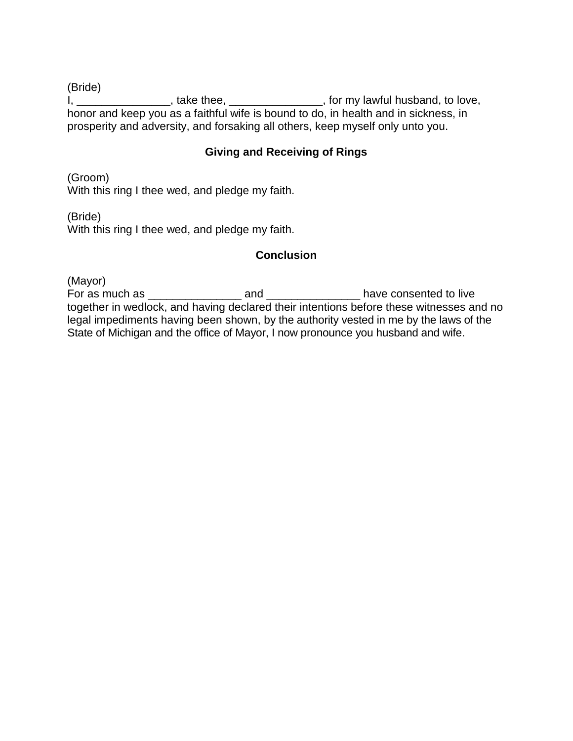(Bride)

I, \_\_\_\_\_\_\_\_\_\_\_\_\_\_\_\_\_, take thee, \_\_\_\_\_\_\_\_\_\_\_\_\_\_\_\_, for my lawful husband, to love, honor and keep you as a faithful wife is bound to do, in health and in sickness, in prosperity and adversity, and forsaking all others, keep myself only unto you.

### **Giving and Receiving of Rings**

(Groom) With this ring I thee wed, and pledge my faith.

(Bride)

With this ring I thee wed, and pledge my faith.

### **Conclusion**

(Mayor) For as much as **For as and For as much as have consented to live** together in wedlock, and having declared their intentions before these witnesses and no legal impediments having been shown, by the authority vested in me by the laws of the State of Michigan and the office of Mayor, I now pronounce you husband and wife.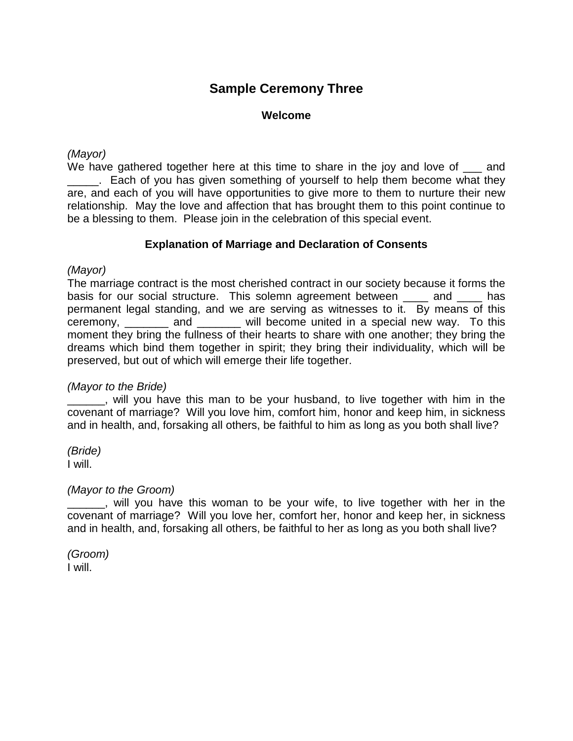## **Sample Ceremony Three**

#### **Welcome**

#### *(Mayor)*

We have gathered together here at this time to share in the joy and love of  $\Box$  and **\_\_\_\_\_.** Each of you has given something of yourself to help them become what they are, and each of you will have opportunities to give more to them to nurture their new relationship. May the love and affection that has brought them to this point continue to be a blessing to them. Please join in the celebration of this special event.

#### **Explanation of Marriage and Declaration of Consents**

#### *(Mayor)*

The marriage contract is the most cherished contract in our society because it forms the basis for our social structure. This solemn agreement between \_\_\_\_ and \_\_\_\_ has permanent legal standing, and we are serving as witnesses to it. By means of this ceremony, \_\_\_\_\_\_\_ and \_\_\_\_\_\_\_ will become united in a special new way. To this moment they bring the fullness of their hearts to share with one another; they bring the dreams which bind them together in spirit; they bring their individuality, which will be preserved, but out of which will emerge their life together.

#### *(Mayor to the Bride)*

\_\_\_\_\_\_, will you have this man to be your husband, to live together with him in the covenant of marriage? Will you love him, comfort him, honor and keep him, in sickness and in health, and, forsaking all others, be faithful to him as long as you both shall live?

*(Bride)* I will.

#### *(Mayor to the Groom)*

\_\_\_\_\_\_, will you have this woman to be your wife, to live together with her in the covenant of marriage? Will you love her, comfort her, honor and keep her, in sickness and in health, and, forsaking all others, be faithful to her as long as you both shall live?

*(Groom)* I will.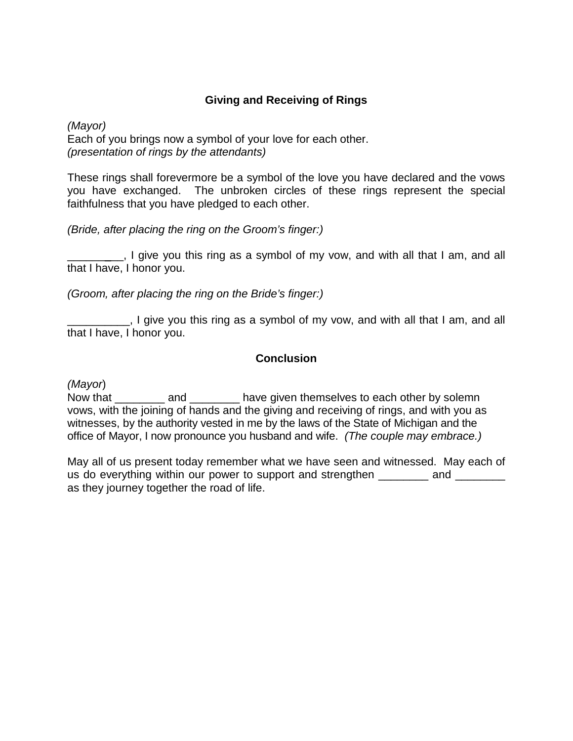## **Giving and Receiving of Rings**

*(Mayor)* Each of you brings now a symbol of your love for each other. *(presentation of rings by the attendants)*

These rings shall forevermore be a symbol of the love you have declared and the vows you have exchanged. The unbroken circles of these rings represent the special faithfulness that you have pledged to each other.

*(Bride, after placing the ring on the Groom's finger:)*

I give you this ring as a symbol of my vow, and with all that I am, and all that I have, I honor you.

*(Groom, after placing the ring on the Bride's finger:)*

\_\_\_\_\_\_\_\_\_\_, I give you this ring as a symbol of my vow, and with all that I am, and all that I have, I honor you.

### **Conclusion**

*(Mayor*)

Now that \_\_\_\_\_\_\_\_ and \_\_\_\_\_\_\_\_ have given themselves to each other by solemn vows, with the joining of hands and the giving and receiving of rings, and with you as witnesses, by the authority vested in me by the laws of the State of Michigan and the office of Mayor, I now pronounce you husband and wife. *(The couple may embrace.)*

May all of us present today remember what we have seen and witnessed. May each of us do everything within our power to support and strengthen and  $\Box$ as they journey together the road of life.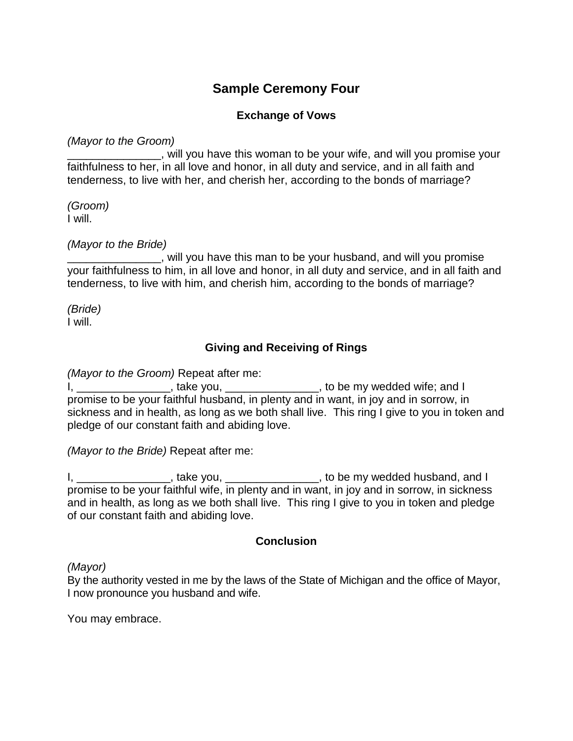## **Sample Ceremony Four**

## **Exchange of Vows**

*(Mayor to the Groom)*

will you have this woman to be your wife, and will you promise your faithfulness to her, in all love and honor, in all duty and service, and in all faith and tenderness, to live with her, and cherish her, according to the bonds of marriage?

*(Groom)* I will.

*(Mayor to the Bride)*

\_\_\_\_\_\_\_\_\_\_\_\_\_\_\_, will you have this man to be your husband, and will you promise your faithfulness to him, in all love and honor, in all duty and service, and in all faith and tenderness, to live with him, and cherish him, according to the bonds of marriage?

*(Bride)* I will.

## **Giving and Receiving of Rings**

*(Mayor to the Groom)* Repeat after me:

 $I_{\rm H}$ ,  $I_{\rm H}$  is the cream, repeat and the medded wife; and I is to be my wedded wife; and I promise to be your faithful husband, in plenty and in want, in joy and in sorrow, in sickness and in health, as long as we both shall live. This ring I give to you in token and pledge of our constant faith and abiding love.

*(Mayor to the Bride)* Repeat after me:

I, \_\_\_\_\_\_\_\_\_\_\_\_\_\_\_\_\_, take you, \_\_\_\_\_\_\_\_\_\_\_\_\_\_\_\_\_, to be my wedded husband, and I promise to be your faithful wife, in plenty and in want, in joy and in sorrow, in sickness and in health, as long as we both shall live. This ring I give to you in token and pledge of our constant faith and abiding love.

### **Conclusion**

*(Mayor)*

By the authority vested in me by the laws of the State of Michigan and the office of Mayor, I now pronounce you husband and wife.

You may embrace.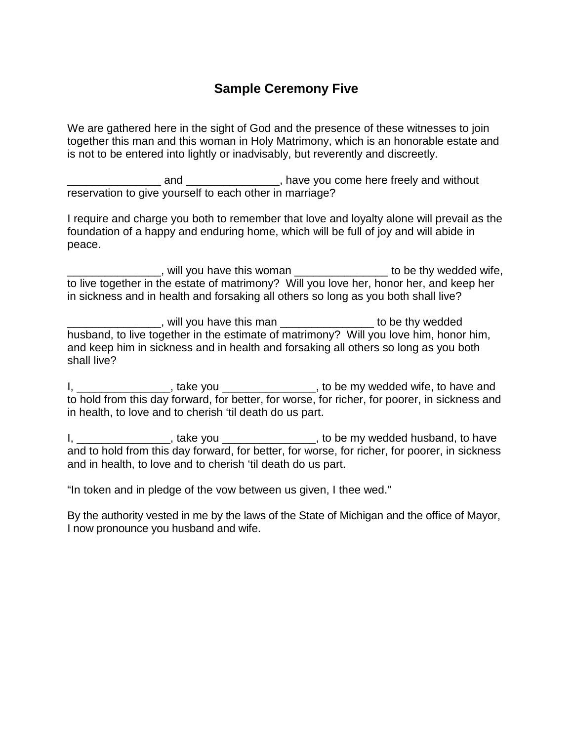## **Sample Ceremony Five**

We are gathered here in the sight of God and the presence of these witnesses to join together this man and this woman in Holy Matrimony, which is an honorable estate and is not to be entered into lightly or inadvisably, but reverently and discreetly.

\_\_\_\_\_\_\_\_\_\_\_\_\_\_\_ and \_\_\_\_\_\_\_\_\_\_\_\_\_\_\_, have you come here freely and without reservation to give yourself to each other in marriage?

I require and charge you both to remember that love and loyalty alone will prevail as the foundation of a happy and enduring home, which will be full of joy and will abide in peace.

**\_\_\_\_\_\_\_\_**, will you have this woman **\_\_\_\_\_\_\_\_\_\_\_\_\_\_\_\_\_\_\_\_** to be thy wedded wife, to live together in the estate of matrimony? Will you love her, honor her, and keep her in sickness and in health and forsaking all others so long as you both shall live?

\_\_\_\_\_\_\_\_\_\_\_\_\_\_\_, will you have this man \_\_\_\_\_\_\_\_\_\_\_\_\_\_\_ to be thy wedded husband, to live together in the estimate of matrimony? Will you love him, honor him, and keep him in sickness and in health and forsaking all others so long as you both shall live?

I, \_\_\_\_\_\_\_\_\_\_\_\_\_\_\_\_, take you \_\_\_\_\_\_\_\_\_\_\_\_\_\_\_\_\_, to be my wedded wife, to have and to hold from this day forward, for better, for worse, for richer, for poorer, in sickness and in health, to love and to cherish 'til death do us part.

I, \_\_\_\_\_\_\_\_\_\_\_\_\_\_\_\_\_\_, take you \_\_\_\_\_\_\_\_\_\_\_\_\_\_\_\_\_\_\_, to be my wedded husband, to have and to hold from this day forward, for better, for worse, for richer, for poorer, in sickness and in health, to love and to cherish 'til death do us part.

"In token and in pledge of the vow between us given, I thee wed."

By the authority vested in me by the laws of the State of Michigan and the office of Mayor, I now pronounce you husband and wife.